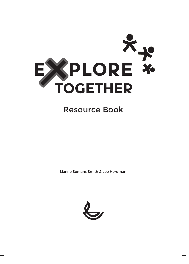

Lianne Semans Smith & Lee Herdman

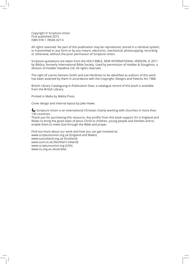Copyright © Scripture Union First published 2015 ISBN 978 1 78506 027 4

All rights reserved. No part of this publication may be reproduced, stored in a retrieval system, or transmitted in any form or by any means, electronic, mechanical, photocopying, recording or otherwise, without the prior permission of Scripture Union.

Scripture quotations are taken from the HOLY BIBLE, NEW INTERNATIONAL VERSION, © 2011 by Biblica, formerly International Bible Society. Used by permission of Hodder & Stoughton, a division of Hodder Headline Ltd. All rights reserved.

The right of Lianne Semans Smith and Lee Herdman to be identified as authors of this work has been asserted by them in accordance with the Copyright, Designs and Patents Act 1988.

British Library Cataloguing-in-Publication Data: a catalogue record of this book is available from the British Library.

Printed in Malta by Melita Press.

Cover design and internal layout by Jake Howe.

Scripture Union is an international Christian charity working with churches in more than 130 countries.

Thank you for purchasing this resource. Any profits from this book support SU in England and Wales to bring the good news of Jesus Christ to children, young people and families and to enable them to meet God through the Bible and prayer.

Find out more about our work and how you can get involved at: www.scriptureunion.org.uk (England and Wales) www.suscotland.org.uk (Scotland) www.suni.co.uk (Northern Ireland) www.scriptureunion.org (USA) www.su.org.au (Australia)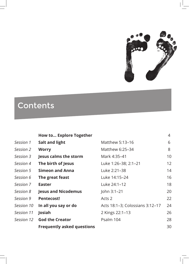

# Contents

|            | <b>How to Explore Together</b>    |                                 | 4  |
|------------|-----------------------------------|---------------------------------|----|
| Session 1  | <b>Salt and light</b>             | Matthew 5:13-16                 | 6  |
| Session 2  | <b>Worry</b>                      | Matthew 6:25-34                 | 8  |
| Session 3  | <b>Jesus calms the storm</b>      | Mark 4:35-41                    | 10 |
| Session 4  | The birth of Jesus                | Luke 1:26-38; 2:1-21            | 12 |
| Session 5  | <b>Simeon and Anna</b>            | Luke 2:21-38                    | 14 |
| Session 6  | The great feast                   | Luke 14:15-24                   | 16 |
| Session 7  | <b>Easter</b>                     | Luke 24:1-12                    | 18 |
| Session 8  | <b>Jesus and Nicodemus</b>        | John 3:1-21                     | 20 |
| Session 9  | <b>Pentecost!</b>                 | Acts 2                          | 22 |
| Session 10 | In all you say or do              | Acts 18:1-3; Colossians 3:12-17 | 24 |
| Session 11 | Josiah                            | 2 Kings 22:1-13                 | 26 |
| Session 12 | <b>God the Creator</b>            | Psalm 104                       | 28 |
|            | <b>Frequently asked questions</b> |                                 | 30 |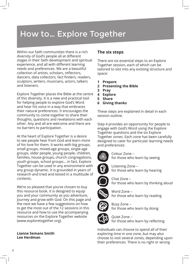## How to… Explore Together

Within our faith communities there is a rich diversity of God's people all at different stages in their faith development and spiritual experience, and all with different learning needs and preferences. We are a beautiful collection of artists, scholars, reflectors, dancers, data collectors, fact finders, readers, sculptors, writers, musicians, actors, talkers and listeners.

Explore Together places the Bible at the centre of this diversity. It is a new and practical tool for helping people to explore God's Word and hear his voice in a way that embraces their natural preferences. It encourages the community to come together to share their thoughts, questions and revelations with each other. Any and all are welcome and there are no barriers to participation.

At the heart of Explore Together is a desire to see people hear from God and learn more of his love for them. It works with big groups, small groups, mixed-age groups, single-age groups, older people, young people, children, families, house groups, church congregations, youth groups, school groups… in fact, Explore Together can be used in any environment with any group dynamic. It is grounded in years of research and tried and tested in a multitude of contexts.

We're so pleased that you've chosen to buy this resource book. It is designed to equip you and your community as you adventure, journey and grow with God. On this page and the next we have a few suggestions on how to get the most out of the 12 sessions in this resource and how to use the accompanying resources on the Explore Together website (www.exploretogether.org).

## **Lianne Semans Smith Lee Herdman**

## **The six steps**

There are six essential steps to an Explore Together session, each of which can be tailored to slot into any existing structure and space:

- **1 Prepare**
- **2 Presenting the Bible**
- **3 Pray**
- **4 Explore**
- **5 Share**
- **6 Giving thanks**

These steps are explained in detail in each session outline.

Step 4 provides an opportunity for people to engage with God's Word using the Explore Together questions and the six Explore Together zones. Each zone has been carefully designed to cater for particular learning needs and preferences:



Colour Zone – for those who learn by seeing



Listening Zone – for those who learn by hearing



Chat Zone – for those who learn by thinking aloud





Busy Zone – for those who learn by doing



Quiet Zone – for those who learn by reflecting

Individuals can choose to spend all of their exploring time in one zone, but may also choose to visit several zones, depending upon their preferences. There is no right or wrong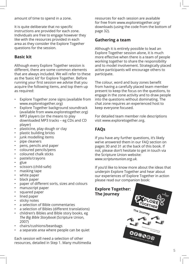amount of time to spend in a zone.

It is quite deliberate that no specific instructions are provided for each zone. Individuals are free to engage however they like with the resources provided in each area as they consider the Explore Together questions for the session.

## **Basic kit**

Although every Explore Together session is different, there are some common elements that are always included. We will refer to these as the 'basic kit' for Explore Together. Before running your first session we advise that you acquire the following items, and top them up as required:

- Explore Together zone signs (available from www.exploretogether.org)
- Explore Together background soundtrack (available from www.exploretogether.org)
- MP3 players (or the means to play downloaded MP3 tracks – eg CDs and CD player)
- plasticine, play dough or clay
- plastic building bricks
- junk modelling items
- pipe cleaners
- pens, pencils and paper
- coloured pencils/pens
- coloured chalk sticks
- pastels/crayons
- glue
- scissors (child-safe)
- masking tape
- white paper
- black paper
- paper of different sorts, sizes and colours
- manuscript paper
- squared paper
- lined paper
- sticky notes
- a selection of Bible commentaries
- a selection of Bibles (different translations)
- children's Bibles and Bible story books, eg *The Big Bible Storybook* (Scripture Union, 2007)
- chairs/cushions/beanbags
- a separate area where people can be quiet

Each session will need a selection of other resources, detailed in Step 1. Many multimedia resources for each session are available for free from www.exploretogether.org/ downloads (using the code from the bottom of page 32).

## **Gathering a team**

Although it is entirely possible to lead an Explore Together session alone, it is much more effective when there is a team of people working together to share the responsibility and to model involvement. Strategically placed active participants will encourage others to participate.

The colour, word and busy zones benefit from having a carefully placed team member present to keep the focus on the questions, to engage in the zone activity and to draw people into the questions without dominating. The chat zone requires an experienced host to keep everyone focused.

For detailed team member role descriptions visit www.exploretogether.org.

## **FAQs**

If you have any further questions, it's likely we've answered them in our FAQ section on pages 30 and 31 at the back of this book. If not, please don't hesitate to get in touch via the Scripture Union website: *www.scriptureunion.org.uk.*

If you'd like to know more about the ideas that underpin Explore Together and hear about our experiences of Explore Together in action please read our companion book:

## **Explore Together: The Journey**

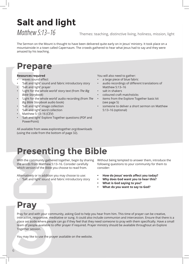# **Salt and light**

*Matthew 5:13–16*

Themes: teaching, distinctive living, holiness, mission, light

The Sermon on the Mount is thought to have been delivered quite early on in Jesus' ministry. It took place on a mountainside in a town called Capernaum. The crowds gathered to hear what Jesus had to say and they were amazed by his teaching.

## **Prepare**

### **Resources required**

- waves sound effect
- 'Salt and light' sound and fabric introductory story
- 'Salt and light' prayer
- 'Light for the whole world' story text (from *The Big Bible Storybook*)
- **Resources requestion**<br> **1** Waves sound<br> **1** 'Salt and light'<br>
11 Salt and light's contract in the starting of the starting of the starting of the starting of the starting of the starting of the starting of the starting of • 'Light for the whole world' audio recording (from *The Big Bible Storybook* audio book)
- 'Salt and light' image collection
- 'Salt and light' word collection
- Matthew 5:13–16 (CEV)
- 'Salt and light' Explore Together questions (PDF and PowerPoint)

All available from www.exploretogether.org/downloads (using the code from the bottom of page 32).

You will also need to gather:

- a large piece of blue fabric
- audio recordings of different translations of Matthew 5:13–16
- salt in shakers
- coloured craft matchsticks
- items from the Explore Together basic kit (see page 5)
- someone to deliver a short sermon on Matthew 5:13–16 (optional)

**Presenting the Bible**<br>
With the community gathered together, begin by sharing Withou<br>
the words from Matthew 5:13-16. Consider carefully followir<br>
which version of the Bible you choose to read from.<br>
<br> **2**<br> **2**<br> **2**<br> **2**<br> With the community gathered together, begin by sharing the words from Matthew 5:13–16. Consider carefully which version of the Bible you choose to read from.

Alternatively or in addition you may choose to use: • 'Salt and light' sound and fabric introductory story Without being tempted to answer them, introduce the following questions to your community for them to consider:

- **• How do Jesus' words affect you today?**
- **• Why does God want you to hear this?**
- **• What is God saying to you?**
- **• What do you want to say to God?**

## **Pray**

**Pray for and with your contractive, responsive, place set aside where p team of people availabl Together session.<br>You may like to use the** Pray for and with your community, asking God to help you hear from him. This time of prayer can be creative, interactive, responsive, meditative or sung. It could also include communion and intercession. Ensure that there is a place set aside where people can go if they feel that they need someone to pray with them specifically. Have a small team of people available to offer prayer if required. Prayer ministry should be available throughout an Explore Together session.

You may like to use the prayer available on the website.